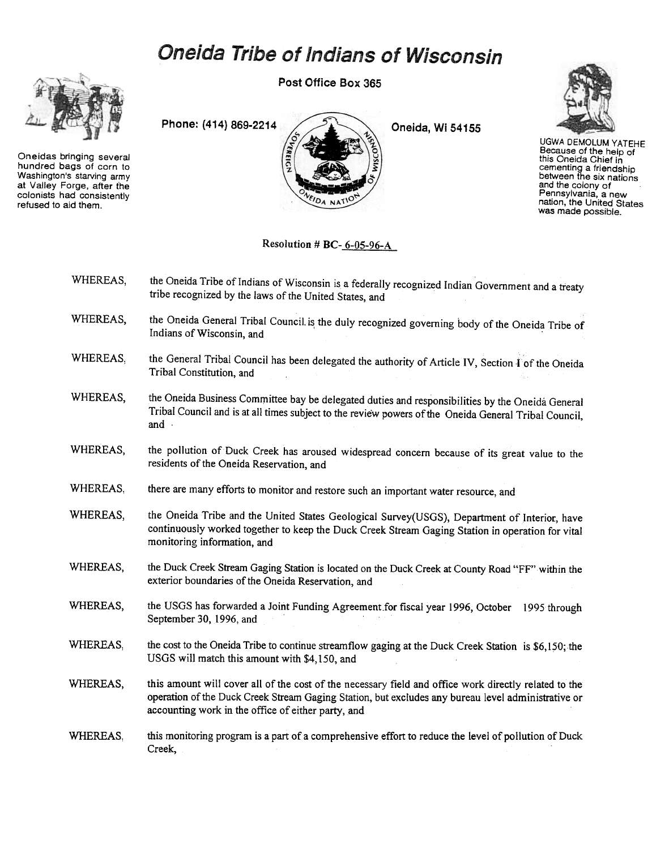## **Oneida Tribe of Indians of Wisconsin**



Oneidas bringing several hundred bags of corn to Washington's starving army at Valley Forge. after ihe colonists had consistently refused to aid them.

Post Office Box 365





UGWA DEMOLUMYATEHE Because of the help of this Oneida Chief in cementing a friendship between the six nations and the colony of Pennsylvania, a new nation, the United States was made possible.

## Resolution # BC-6-05-96-A

| WHEREAS. | the Oneida Tribe of Indians of Wisconsin is a federally recognized Indian Government and a treaty<br>tribe recognized by the laws of the United States, and |
|----------|-------------------------------------------------------------------------------------------------------------------------------------------------------------|
|          |                                                                                                                                                             |

- WHEREAS, the Oneida General Tribal Council is the duly recognized governing body of the Oneida Tribe of Indians of Wisconsin, and
- WHEREAS, the General Tribal Council has been delegated the authority of Article IV, Section 1 of the Oneida Tribal Constitution, and
- WHEREAS, the Oneida Business Committee bay be delegated duties and responsibilities by the Oneida General Tribal Council and is at all times subject to the review powers of the Oneida General Tribal Council, and.
- WHEREAS, the pollution of Duck Creek has aroused widespread concern because of its great value to the residents of the Oneida Reservation, and
- WHEREAS, there are many efforts to monitor and restore such an important water resource, and
- WHEREAS, the Oneida Tribe and the United States Geological Survey(USGS), Department of Interior, have continuously worked together to keep the Duck Creek Stream Gaging Station in operation for vital monitoring information, and
- WHEREAS, the Duck Creek Stream Gaging Station is located on the Duck Creek at County Road "FF" within the exterior boundaries of the Oneida Reservation, and
- WHEREAS, the USGS has forwarded a Joint Funding Agreement for fiscal year 1996, October 1995 through September 30, 1996, and
- WHEREAS, the cost to the Oneida Tribe to continue streamflow gaging at the Duck Creek Station is \$6,150; the USGS will match this amount with \$4,150, and
- WHEREAS, this amount will cover all of the cost of the necessary field and office work directly related to the operation of the Duck Creek Stream Gaging Station, but excludes any bureau level administrative or accounting work in the office of either party, and
- WHEREAS, this monitoring program is a part of a comprehensive effort to reduce the level of pollution of Duck Creek,